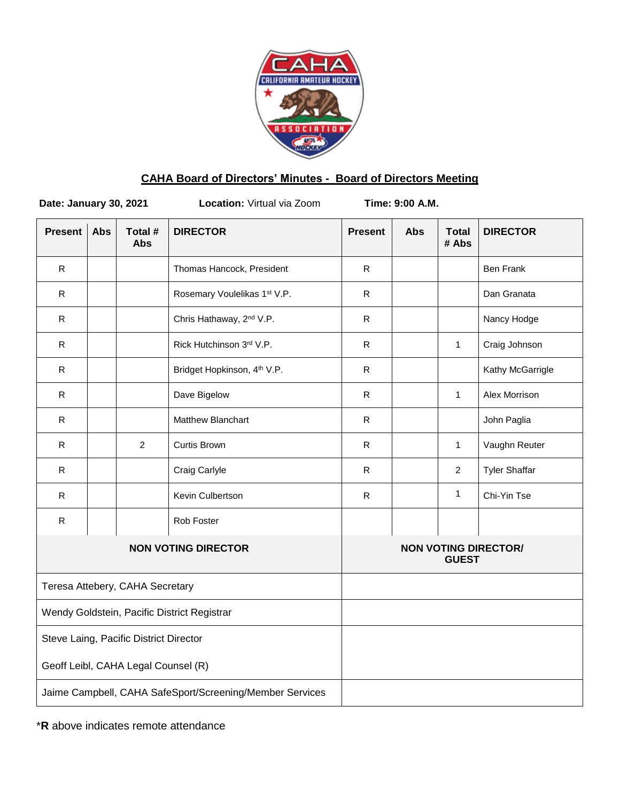

# **CAHA Board of Directors' Minutes - Board of Directors Meeting**

| Date: January 30, 2021                                   |            |                       | Location: Virtual via Zoom              | Time: 9:00 A.M. |                                             |                       |                      |  |
|----------------------------------------------------------|------------|-----------------------|-----------------------------------------|-----------------|---------------------------------------------|-----------------------|----------------------|--|
| <b>Present</b>                                           | <b>Abs</b> | Total #<br><b>Abs</b> | <b>DIRECTOR</b>                         | <b>Present</b>  | Abs                                         | <b>Total</b><br># Abs | <b>DIRECTOR</b>      |  |
| $\mathsf R$                                              |            |                       | Thomas Hancock, President               | ${\sf R}$       |                                             |                       | <b>Ben Frank</b>     |  |
| $\mathsf{R}$                                             |            |                       | Rosemary Voulelikas 1st V.P.            | $\mathsf{R}$    |                                             |                       | Dan Granata          |  |
| ${\sf R}$                                                |            |                       | Chris Hathaway, 2 <sup>nd</sup> V.P.    | ${\sf R}$       |                                             |                       | Nancy Hodge          |  |
| $\mathsf{R}$                                             |            |                       | Rick Hutchinson 3rd V.P.                | ${\sf R}$       |                                             | $\mathbf{1}$          | Craig Johnson        |  |
| $\mathsf{R}$                                             |            |                       | Bridget Hopkinson, 4 <sup>th</sup> V.P. | ${\sf R}$       |                                             |                       | Kathy McGarrigle     |  |
| R                                                        |            |                       | Dave Bigelow                            | ${\sf R}$       |                                             | $\mathbf{1}$          | Alex Morrison        |  |
| ${\sf R}$                                                |            |                       | Matthew Blanchart                       | ${\sf R}$       |                                             |                       | John Paglia          |  |
| $\mathsf{R}$                                             |            | 2                     | <b>Curtis Brown</b>                     | ${\sf R}$       |                                             | $\mathbf{1}$          | Vaughn Reuter        |  |
| R                                                        |            |                       | Craig Carlyle                           | ${\sf R}$       |                                             | $\overline{2}$        | <b>Tyler Shaffar</b> |  |
| $\mathsf R$                                              |            |                       | Kevin Culbertson                        | ${\sf R}$       |                                             | $\mathbf{1}$          | Chi-Yin Tse          |  |
| R                                                        |            |                       | Rob Foster                              |                 |                                             |                       |                      |  |
| <b>NON VOTING DIRECTOR</b>                               |            |                       |                                         |                 | <b>NON VOTING DIRECTOR/</b><br><b>GUEST</b> |                       |                      |  |
| Teresa Attebery, CAHA Secretary                          |            |                       |                                         |                 |                                             |                       |                      |  |
| Wendy Goldstein, Pacific District Registrar              |            |                       |                                         |                 |                                             |                       |                      |  |
| Steve Laing, Pacific District Director                   |            |                       |                                         |                 |                                             |                       |                      |  |
| Geoff Leibl, CAHA Legal Counsel (R)                      |            |                       |                                         |                 |                                             |                       |                      |  |
| Jaime Campbell, CAHA SafeSport/Screening/Member Services |            |                       |                                         |                 |                                             |                       |                      |  |
|                                                          |            |                       |                                         |                 |                                             |                       |                      |  |

\***R** above indicates remote attendance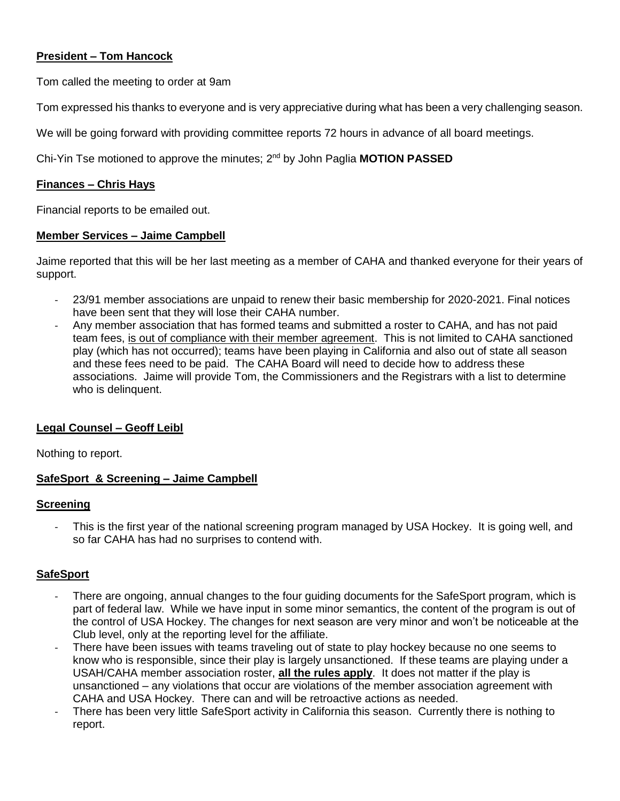## **President – Tom Hancock**

Tom called the meeting to order at 9am

Tom expressed his thanks to everyone and is very appreciative during what has been a very challenging season.

We will be going forward with providing committee reports 72 hours in advance of all board meetings.

Chi-Yin Tse motioned to approve the minutes; 2nd by John Paglia **MOTION PASSED**

#### **Finances – Chris Hays**

Financial reports to be emailed out.

#### **Member Services – Jaime Campbell**

Jaime reported that this will be her last meeting as a member of CAHA and thanked everyone for their years of support.

- 23/91 member associations are unpaid to renew their basic membership for 2020-2021. Final notices have been sent that they will lose their CAHA number.
- Any member association that has formed teams and submitted a roster to CAHA, and has not paid team fees, is out of compliance with their member agreement. This is not limited to CAHA sanctioned play (which has not occurred); teams have been playing in California and also out of state all season and these fees need to be paid. The CAHA Board will need to decide how to address these associations. Jaime will provide Tom, the Commissioners and the Registrars with a list to determine who is delinquent.

## **Legal Counsel – Geoff Leibl**

Nothing to report.

## **SafeSport & Screening – Jaime Campbell**

#### **Screening**

- This is the first year of the national screening program managed by USA Hockey. It is going well, and so far CAHA has had no surprises to contend with.

## **SafeSport**

- There are ongoing, annual changes to the four guiding documents for the SafeSport program, which is part of federal law. While we have input in some minor semantics, the content of the program is out of the control of USA Hockey. The changes for next season are very minor and won't be noticeable at the Club level, only at the reporting level for the affiliate.
- There have been issues with teams traveling out of state to play hockey because no one seems to know who is responsible, since their play is largely unsanctioned. If these teams are playing under a USAH/CAHA member association roster, **all the rules apply**. It does not matter if the play is unsanctioned – any violations that occur are violations of the member association agreement with CAHA and USA Hockey. There can and will be retroactive actions as needed.
- There has been very little SafeSport activity in California this season. Currently there is nothing to report.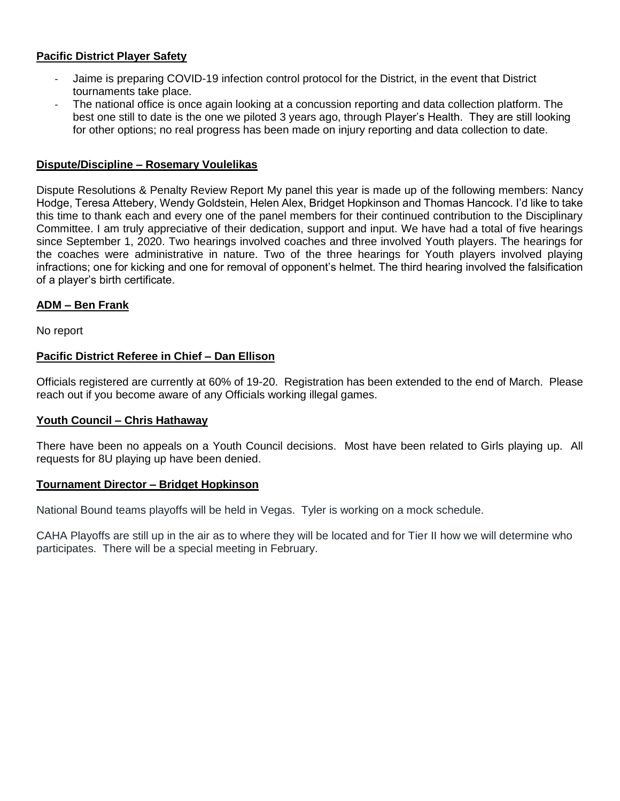## **Pacific District Player Safety**

- Jaime is preparing COVID-19 infection control protocol for the District, in the event that District tournaments take place.
- The national office is once again looking at a concussion reporting and data collection platform. The best one still to date is the one we piloted 3 years ago, through Player's Health. They are still looking for other options; no real progress has been made on injury reporting and data collection to date.

#### **Dispute/Discipline – Rosemary Voulelikas**

Dispute Resolutions & Penalty Review Report My panel this year is made up of the following members: Nancy Hodge, Teresa Attebery, Wendy Goldstein, Helen Alex, Bridget Hopkinson and Thomas Hancock. I'd like to take this time to thank each and every one of the panel members for their continued contribution to the Disciplinary Committee. I am truly appreciative of their dedication, support and input. We have had a total of five hearings since September 1, 2020. Two hearings involved coaches and three involved Youth players. The hearings for the coaches were administrative in nature. Two of the three hearings for Youth players involved playing infractions; one for kicking and one for removal of opponent's helmet. The third hearing involved the falsification of a player's birth certificate.

## **ADM – Ben Frank**

No report

#### **Pacific District Referee in Chief – Dan Ellison**

Officials registered are currently at 60% of 19-20. Registration has been extended to the end of March. Please reach out if you become aware of any Officials working illegal games.

#### **Youth Council – Chris Hathaway**

There have been no appeals on a Youth Council decisions. Most have been related to Girls playing up. All requests for 8U playing up have been denied.

#### **Tournament Director – Bridget Hopkinson**

National Bound teams playoffs will be held in Vegas. Tyler is working on a mock schedule.

CAHA Playoffs are still up in the air as to where they will be located and for Tier II how we will determine who participates. There will be a special meeting in February.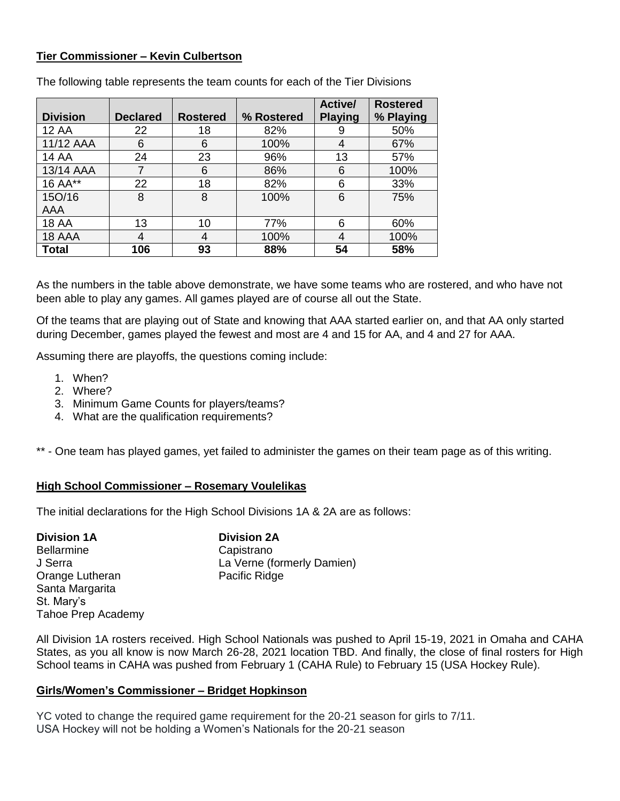## **Tier Commissioner – Kevin Culbertson**

|                 |                 |                 |            | Active/        | <b>Rostered</b> |
|-----------------|-----------------|-----------------|------------|----------------|-----------------|
| <b>Division</b> | <b>Declared</b> | <b>Rostered</b> | % Rostered | <b>Playing</b> | % Playing       |
| <b>12 AA</b>    | 22              | 18              | 82%        | 9              | 50%             |
| 11/12 AAA       | 6               | 6               | 100%       | 4              | 67%             |
| <b>14 AA</b>    | 24              | 23              | 96%        | 13             | 57%             |
| 13/14 AAA       | 7               | 6               | 86%        | 6              | 100%            |
| 16 AA**         | 22              | 18              | 82%        | 6              | 33%             |
| 15O/16          | 8               | 8               | 100%       | 6              | 75%             |
| <b>AAA</b>      |                 |                 |            |                |                 |
| <b>18 AA</b>    | 13              | 10              | 77%        | 6              | 60%             |
| 18 AAA          | 4               | 4               | 100%       | 4              | 100%            |
| <b>Total</b>    | 106             | 93              | 88%        | 54             | 58%             |

The following table represents the team counts for each of the Tier Divisions

As the numbers in the table above demonstrate, we have some teams who are rostered, and who have not been able to play any games. All games played are of course all out the State.

Of the teams that are playing out of State and knowing that AAA started earlier on, and that AA only started during December, games played the fewest and most are 4 and 15 for AA, and 4 and 27 for AAA.

Assuming there are playoffs, the questions coming include:

- 1. When?
- 2. Where?
- 3. Minimum Game Counts for players/teams?
- 4. What are the qualification requirements?

\*\* - One team has played games, yet failed to administer the games on their team page as of this writing.

## **High School Commissioner – Rosemary Voulelikas**

The initial declarations for the High School Divisions 1A & 2A are as follows:

**Division 1A Division 2A** Bellarmine Capistrano Orange Lutheran Pacific Ridge Santa Margarita St. Mary's Tahoe Prep Academy

J Serra La Verne (formerly Damien)

All Division 1A rosters received. High School Nationals was pushed to April 15-19, 2021 in Omaha and CAHA States, as you all know is now March 26-28, 2021 location TBD. And finally, the close of final rosters for High School teams in CAHA was pushed from February 1 (CAHA Rule) to February 15 (USA Hockey Rule).

## **Girls/Women's Commissioner – Bridget Hopkinson**

YC voted to change the required game requirement for the 20-21 season for girls to 7/11. USA Hockey will not be holding a Women's Nationals for the 20-21 season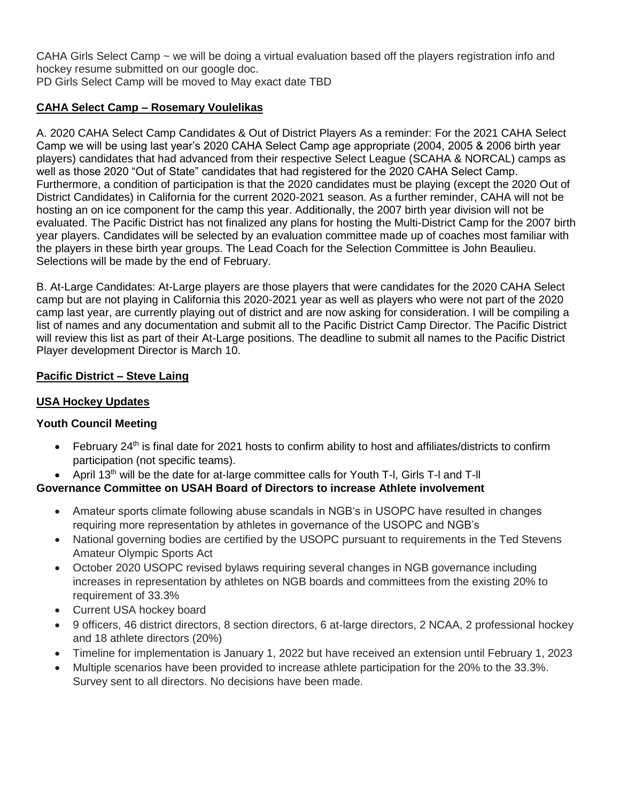CAHA Girls Select Camp ~ we will be doing a virtual evaluation based off the players registration info and hockey resume submitted on our google doc.

PD Girls Select Camp will be moved to May exact date TBD

# **CAHA Select Camp – Rosemary Voulelikas**

A. 2020 CAHA Select Camp Candidates & Out of District Players As a reminder: For the 2021 CAHA Select Camp we will be using last year's 2020 CAHA Select Camp age appropriate (2004, 2005 & 2006 birth year players) candidates that had advanced from their respective Select League (SCAHA & NORCAL) camps as well as those 2020 "Out of State" candidates that had registered for the 2020 CAHA Select Camp. Furthermore, a condition of participation is that the 2020 candidates must be playing (except the 2020 Out of District Candidates) in California for the current 2020-2021 season. As a further reminder, CAHA will not be hosting an on ice component for the camp this year. Additionally, the 2007 birth year division will not be evaluated. The Pacific District has not finalized any plans for hosting the Multi-District Camp for the 2007 birth year players. Candidates will be selected by an evaluation committee made up of coaches most familiar with the players in these birth year groups. The Lead Coach for the Selection Committee is John Beaulieu. Selections will be made by the end of February.

B. At-Large Candidates: At-Large players are those players that were candidates for the 2020 CAHA Select camp but are not playing in California this 2020-2021 year as well as players who were not part of the 2020 camp last year, are currently playing out of district and are now asking for consideration. I will be compiling a list of names and any documentation and submit all to the Pacific District Camp Director. The Pacific District will review this list as part of their At-Large positions. The deadline to submit all names to the Pacific District Player development Director is March 10.

# **Pacific District – Steve Laing**

## **USA Hockey Updates**

# **Youth Council Meeting**

- $\bullet$  February 24<sup>th</sup> is final date for 2021 hosts to confirm ability to host and affiliates/districts to confirm participation (not specific teams).
- April 13th will be the date for at-large committee calls for Youth T-l, Girls T-l and T-ll

# **Governance Committee on USAH Board of Directors to increase Athlete involvement**

- Amateur sports climate following abuse scandals in NGB's in USOPC have resulted in changes requiring more representation by athletes in governance of the USOPC and NGB's
- National governing bodies are certified by the USOPC pursuant to requirements in the Ted Stevens Amateur Olympic Sports Act
- October 2020 USOPC revised bylaws requiring several changes in NGB governance including increases in representation by athletes on NGB boards and committees from the existing 20% to requirement of 33.3%
- Current USA hockey board
- 9 officers, 46 district directors, 8 section directors, 6 at-large directors, 2 NCAA, 2 professional hockey and 18 athlete directors (20%)
- Timeline for implementation is January 1, 2022 but have received an extension until February 1, 2023
- Multiple scenarios have been provided to increase athlete participation for the 20% to the 33.3%. Survey sent to all directors. No decisions have been made.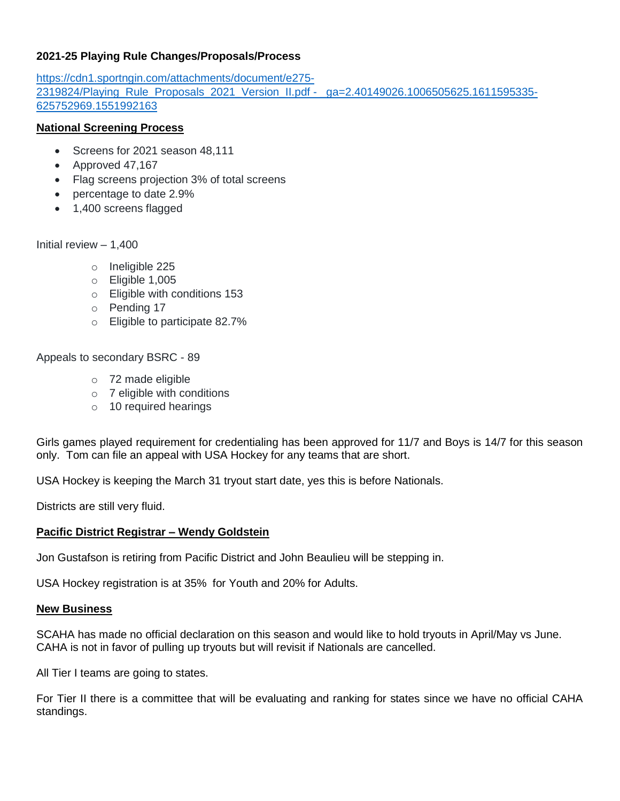## **2021-25 Playing Rule Changes/Proposals/Process**

[https://cdn1.sportngin.com/attachments/document/e275-](https://cdn1.sportngin.com/attachments/document/e275-2319824/Playing_Rule_Proposals_2021_Version_II.pdf#_ga=2.40149026.1006505625.1611595335-625752969.1551992163) [2319824/Playing\\_Rule\\_Proposals\\_2021\\_Version\\_II.pdf -](https://cdn1.sportngin.com/attachments/document/e275-2319824/Playing_Rule_Proposals_2021_Version_II.pdf#_ga=2.40149026.1006505625.1611595335-625752969.1551992163) \_ga=2.40149026.1006505625.1611595335- [625752969.1551992163](https://cdn1.sportngin.com/attachments/document/e275-2319824/Playing_Rule_Proposals_2021_Version_II.pdf#_ga=2.40149026.1006505625.1611595335-625752969.1551992163)

## **National Screening Process**

- Screens for 2021 season 48,111
- Approved 47,167
- Flag screens projection 3% of total screens
- percentage to date 2.9%
- 1,400 screens flagged

Initial review – 1,400

- o Ineligible 225
- o Eligible 1,005
- o Eligible with conditions 153
- o Pending 17
- o Eligible to participate 82.7%

Appeals to secondary BSRC - 89

- o 72 made eligible
- o 7 eligible with conditions
- o 10 required hearings

Girls games played requirement for credentialing has been approved for 11/7 and Boys is 14/7 for this season only. Tom can file an appeal with USA Hockey for any teams that are short.

USA Hockey is keeping the March 31 tryout start date, yes this is before Nationals.

Districts are still very fluid.

## **Pacific District Registrar – Wendy Goldstein**

Jon Gustafson is retiring from Pacific District and John Beaulieu will be stepping in.

USA Hockey registration is at 35% for Youth and 20% for Adults.

#### **New Business**

SCAHA has made no official declaration on this season and would like to hold tryouts in April/May vs June. CAHA is not in favor of pulling up tryouts but will revisit if Nationals are cancelled.

All Tier I teams are going to states.

For Tier II there is a committee that will be evaluating and ranking for states since we have no official CAHA standings.